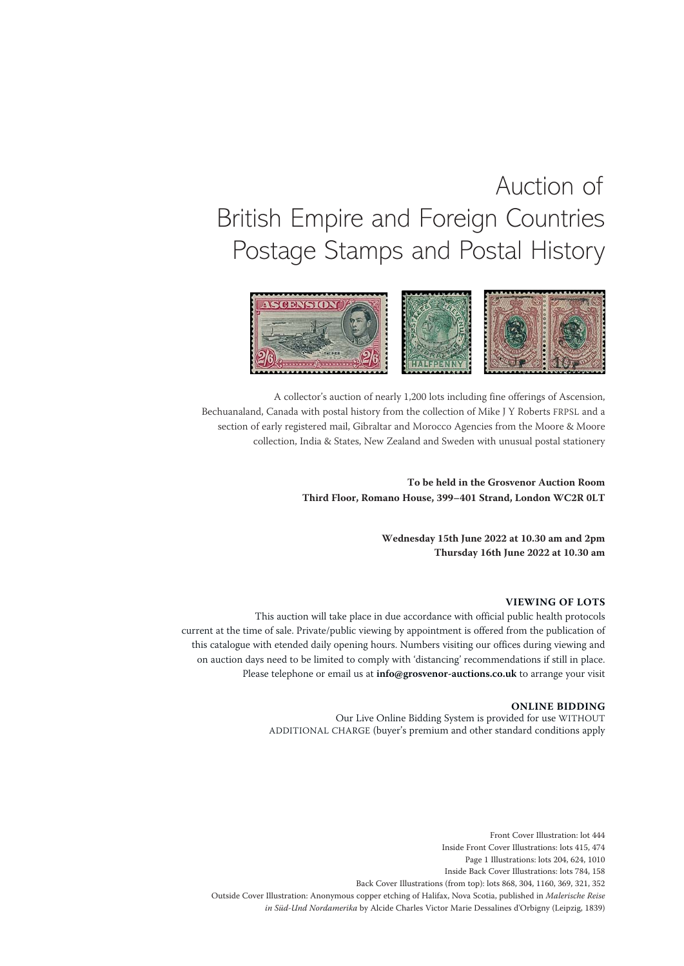# Auction of British Empire and Foreign Countries Postage Stamps and Postal History



A collector's auction of nearly 1,200 lots including fine offerings of Ascension, Bechuanaland, Canada with postal history from the collection of Mike J Y Roberts FRPSL and a section of early registered mail, Gibraltar and Morocco Agencies from the Moore & Moore collection, India & States, New Zealand and Sweden with unusual postal stationery

> **To be held in the Grosvenor Auction Room Third Floor, Romano House, 399–401 Strand, London WC2R 0LT**

> > **Wednesday 15th June 2022 at 10.30 am and 2pm Thursday 16th June 2022 at 10.30 am**

# **VIEWING OF LOTS**

This auction will take place in due accordance with official public health protocols current at the time of sale. Private/public viewing by appointment is offered from the publication of this catalogue with etended daily opening hours. Numbers visiting our offices during viewing and on auction days need to be limited to comply with 'distancing' recommendations if still in place. Please telephone or email us at **info@grosvenor-auctions.co.uk** to arrange your visit

#### **ONLINE BIDDING**

Our Live Online Bidding System is provided for use WITHOUT ADDITIONAL CHARGE (buyer's premium and other standard conditions apply

Front Cover Illustration: lot 444 Inside Front Cover Illustrations: lots 415, 474 Page 1 Illustrations: lots 204, 624, 1010 Inside Back Cover Illustrations: lots 784, 158 Back Cover Illustrations (from top): lots 868, 304, 1160, 369, 321, 352 Outside Cover Illustration: Anonymous copper etching of Halifax, Nova Scotia, published in *Malerische Reise in Süd-Und Nordamerika* by Alcide Charles Victor Marie Dessalines d'Orbigny (Leipzig, 1839)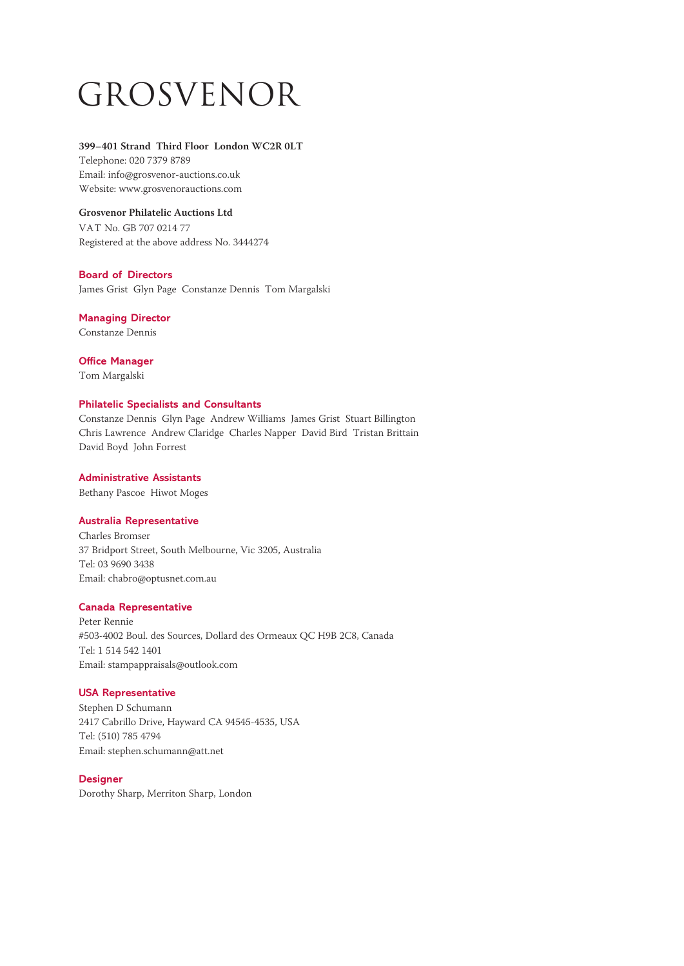# Grosvenor

# **399–401 Strand Third Floor London WC2R 0LT**

Telephone: 020 7379 8789 Email: info@grosvenor-auctions.co.uk Website: www.grosvenorauctions.com

# **Grosvenor Philatelic Auctions Ltd**

VAT No. GB 707 0214 77 Registered at the above address No. 3444274

# **Board of Directors**

James Grist Glyn Page Constanze Dennis Tom Margalski

# **Managing Director**

Constanze Dennis

# **Office Manager**

Tom Margalski

# **Philatelic Specialists and Consultants**

Constanze Dennis Glyn Page Andrew Williams James Grist Stuart Billington Chris Lawrence Andrew Claridge Charles Napper David Bird Tristan Brittain David Boyd John Forrest

# **Administrative Assistants**

Bethany Pascoe Hiwot Moges

# **Australia Representative**

Charles Bromser 37 Bridport Street, South Melbourne, Vic 3205, Australia Tel: 03 9690 3438 Email: chabro@optusnet.com.au

# **Canada Representative**

Peter Rennie #503-4002 Boul. des Sources, Dollard des Ormeaux QC H9B 2C8, Canada Tel: 1 514 542 1401 Email: stampappraisals@outlook.com

# **USA Representative**

Stephen D Schumann 2417 Cabrillo Drive, Hayward CA 94545-4535, USA Tel: (510) 785 4794 Email: stephen.schumann@att.net

# **Designer**

Dorothy Sharp, Merriton Sharp, London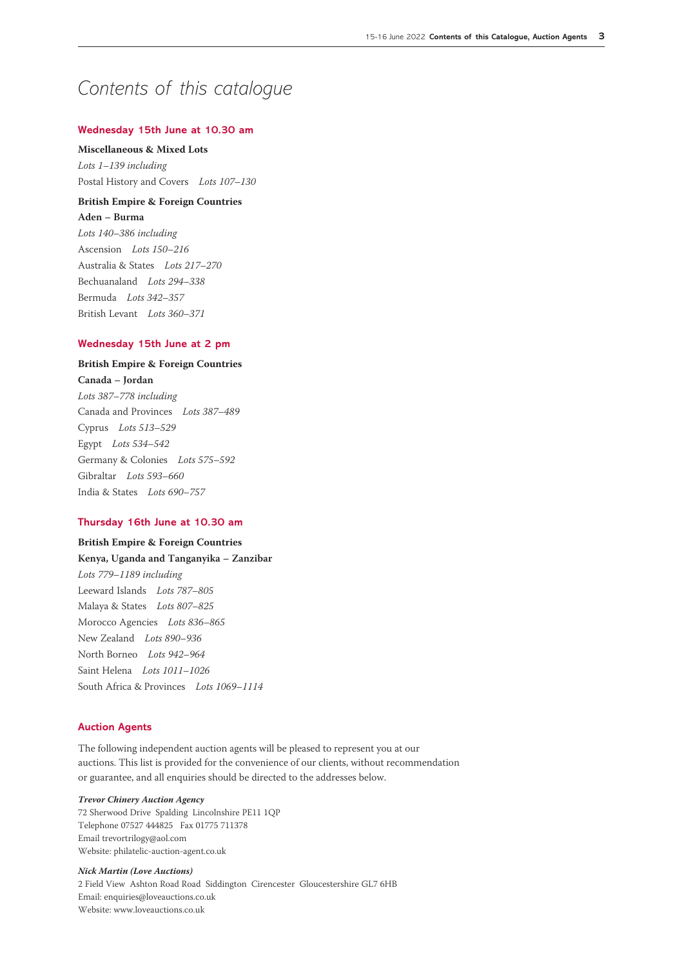# *Contents of this catalogue*

# **Wednesday 15th June at 10.30 am**

**Miscellaneous & Mixed Lots** *Lots 1–139 including* Postal History and Covers *Lots 107–130*

# **British Empire & Foreign Countries**

**Aden – Burma** *Lots 140–386 including* Ascension *Lots 150–216* Australia & States *Lots 217–270* Bechuanaland *Lots 294–338* Bermuda *Lots 342–357* British Levant *Lots 360–371*

# **Wednesday 15th June at 2 pm**

# **British Empire & Foreign Countries**

**Canada – Jordan** *Lots 387–778 including* Canada and Provinces *Lots 387–489* Cyprus *Lots 513–529* Egypt *Lots 534–542* Germany & Colonies *Lots 575–592* Gibraltar *Lots 593–660* India & States *Lots 690–757*

# **Thursday 16th June at 10.30 am**

**British Empire & Foreign Countries Kenya, Uganda and Tanganyika – Zanzibar** *Lots 779–1189 including* Leeward Islands *Lots 787–805* Malaya & States *Lots 807–825* Morocco Agencies *Lots 836–865* New Zealand *Lots 890–936* North Borneo *Lots 942–964* Saint Helena *Lots 1011–1026* South Africa & Provinces *Lots 1069–1114*

## **Auction Agents**

The following independent auction agents will be pleased to represent you at our auctions. This list is provided for the convenience of our clients, without recommendation or guarantee, and all enquiries should be directed to the addresses below.

*Trevor Chinery Auction Agency* 72 Sherwood Drive Spalding Lincolnshire PE11 1QP Telephone 07527 444825 Fax 01775 711378 Email trevortrilogy@aol.com Website: philatelic-auction-agent.co.uk

*Nick Martin (Love Auctions)* 2 Field View Ashton Road Road Siddington Cirencester Gloucestershire GL7 6HB Email: enquiries@loveauctions.co.uk Website: www.loveauctions.co.uk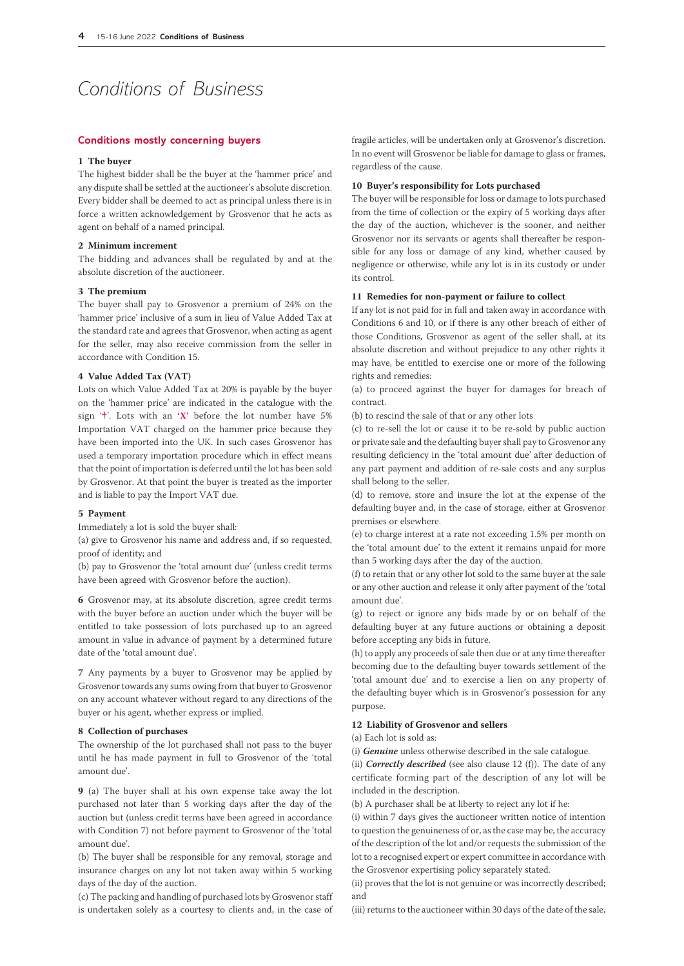# *Conditions of Business*

#### **Conditions mostly concerning buyers**

## **1 The buyer**

The highest bidder shall be the buyer at the 'hammer price' and any dispute shall be settled at the auctioneer's absolute discretion. Every bidder shall be deemed to act as principal unless there is in force a written acknowledgement by Grosvenor that he acts as agent on behalf of a named principal.

#### **2 Minimum increment**

The bidding and advances shall be regulated by and at the absolute discretion of the auctioneer.

# **3 The premium**

The buyer shall pay to Grosvenor a premium of 24% on the 'hammer price' inclusive of a sum in lieu of Value Added Tax at the standard rate and agrees that Grosvenor, when acting as agent for the seller, may also receive commission from the seller in accordance with Condition 15.

## **4 Value Added Tax (VAT)**

Lots on which Value Added Tax at 20% is payable by the buyer on the 'hammer price' are indicated in the catalogue with the sign '**†**'. Lots with an **'X'** before the lot number have 5% Importation VAT charged on the hammer price because they have been imported into the UK. In such cases Grosvenor has used a temporary importation procedure which in effect means that the point of importation is deferred until the lot has been sold by Grosvenor. At that point the buyer is treated as the importer and is liable to pay the Import VAT due.

#### **5 Payment**

Immediately a lot is sold the buyer shall:

(a) give to Grosvenor his name and address and, if so requested, proof of identity; and

(b) pay to Grosvenor the 'total amount due' (unless credit terms have been agreed with Grosvenor before the auction).

**6** Grosvenor may, at its absolute discretion, agree credit terms with the buyer before an auction under which the buyer will be entitled to take possession of lots purchased up to an agreed amount in value in advance of payment by a determined future date of the 'total amount due'.

**7** Any payments by a buyer to Grosvenor may be applied by Grosvenor towards any sums owing from that buyer to Grosvenor on any account whatever without regard to any directions of the buyer or his agent, whether express or implied.

#### **8 Collection of purchases**

The ownership of the lot purchased shall not pass to the buyer until he has made payment in full to Grosvenor of the 'total amount due'.

**9** (a) The buyer shall at his own expense take away the lot purchased not later than 5 working days after the day of the auction but (unless credit terms have been agreed in accordance with Condition 7) not before payment to Grosvenor of the 'total amount due'.

(b) The buyer shall be responsible for any removal, storage and insurance charges on any lot not taken away within 5 working days of the day of the auction.

(c) The packing and handling of purchased lots by Grosvenor staff is undertaken solely as a courtesy to clients and, in the case of fragile articles, will be undertaken only at Grosvenor's discretion. In no event will Grosvenor be liable for damage to glass or frames, regardless of the cause.

## **10 Buyer's responsibility for Lots purchased**

The buyer will be responsible for loss or damage to lots purchased from the time of collection or the expiry of 5 working days after the day of the auction, whichever is the sooner, and neither Grosvenor nor its servants or agents shall thereafter be responsible for any loss or damage of any kind, whether caused by negligence or otherwise, while any lot is in its custody or under its control.

# **11 Remedies for non-payment or failure to collect**

If any lot is not paid for in full and taken away in accordance with Conditions 6 and 10, or if there is any other breach of either of those Conditions, Grosvenor as agent of the seller shall, at its absolute discretion and without prejudice to any other rights it may have, be entitled to exercise one or more of the following rights and remedies:

(a) to proceed against the buyer for damages for breach of contract.

(b) to rescind the sale of that or any other lots

(c) to re-sell the lot or cause it to be re-sold by public auction or private sale and the defaulting buyer shall pay to Grosvenor any resulting deficiency in the 'total amount due' after deduction of any part payment and addition of re-sale costs and any surplus shall belong to the seller.

(d) to remove, store and insure the lot at the expense of the defaulting buyer and, in the case of storage, either at Grosvenor premises or elsewhere.

(e) to charge interest at a rate not exceeding 1.5% per month on the 'total amount due' to the extent it remains unpaid for more than 5 working days after the day of the auction.

(f) to retain that or any other lot sold to the same buyer at the sale or any other auction and release it only after payment of the 'total amount due'.

(g) to reject or ignore any bids made by or on behalf of the defaulting buyer at any future auctions or obtaining a deposit before accepting any bids in future.

(h) to apply any proceeds of sale then due or at any time thereafter becoming due to the defaulting buyer towards settlement of the 'total amount due' and to exercise a lien on any property of the defaulting buyer which is in Grosvenor's possession for any purpose.

## **12 Liability of Grosvenor and sellers**

#### (a) Each lot is sold as:

(i) *Genuine* unless otherwise described in the sale catalogue.

(ii) *Correctly described* (see also clause 12 (f)). The date of any certificate forming part of the description of any lot will be included in the description.

(b) A purchaser shall be at liberty to reject any lot if he:

(i) within 7 days gives the auctioneer written notice of intention to question the genuineness of or, as the case may be, the accuracy of the description of the lot and/or requests the submission of the lot to a recognised expert or expert committee in accordance with the Grosvenor expertising policy separately stated.

(ii) proves that the lot is not genuine or was incorrectly described; and

(iii) returns to the auctioneer within 30 days of the date of the sale,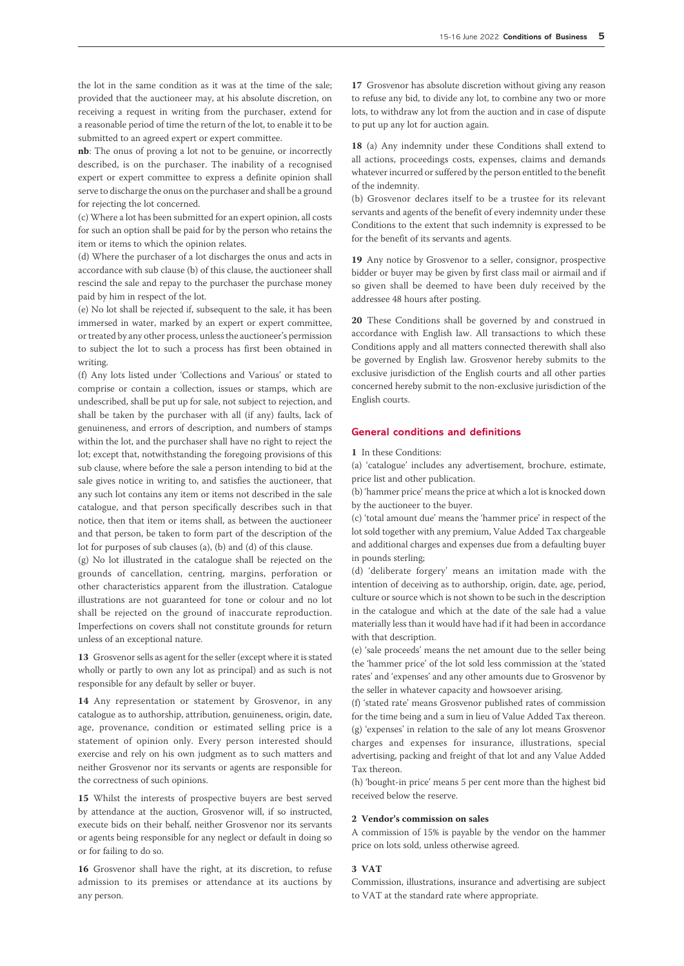the lot in the same condition as it was at the time of the sale; provided that the auctioneer may, at his absolute discretion, on receiving a request in writing from the purchaser, extend for a reasonable period of time the return of the lot, to enable it to be submitted to an agreed expert or expert committee.

**nb**: The onus of proving a lot not to be genuine, or incorrectly described, is on the purchaser. The inability of a recognised expert or expert committee to express a definite opinion shall serve to discharge the onus on the purchaser and shall be a ground for rejecting the lot concerned.

(c) Where a lot has been submitted for an expert opinion, all costs for such an option shall be paid for by the person who retains the item or items to which the opinion relates.

(d) Where the purchaser of a lot discharges the onus and acts in accordance with sub clause (b) of this clause, the auctioneer shall rescind the sale and repay to the purchaser the purchase money paid by him in respect of the lot.

(e) No lot shall be rejected if, subsequent to the sale, it has been immersed in water, marked by an expert or expert committee, or treated by any other process, unless the auctioneer's permission to subject the lot to such a process has first been obtained in writing.

(f) Any lots listed under 'Collections and Various' or stated to comprise or contain a collection, issues or stamps, which are undescribed, shall be put up for sale, not subject to rejection, and shall be taken by the purchaser with all (if any) faults, lack of genuineness, and errors of description, and numbers of stamps within the lot, and the purchaser shall have no right to reject the lot; except that, notwithstanding the foregoing provisions of this sub clause, where before the sale a person intending to bid at the sale gives notice in writing to, and satisfies the auctioneer, that any such lot contains any item or items not described in the sale catalogue, and that person specifically describes such in that notice, then that item or items shall, as between the auctioneer and that person, be taken to form part of the description of the lot for purposes of sub clauses (a), (b) and (d) of this clause.

(g) No lot illustrated in the catalogue shall be rejected on the grounds of cancellation, centring, margins, perforation or other characteristics apparent from the illustration. Catalogue illustrations are not guaranteed for tone or colour and no lot shall be rejected on the ground of inaccurate reproduction. Imperfections on covers shall not constitute grounds for return unless of an exceptional nature.

**13** Grosvenor sells as agent for the seller (except where it is stated wholly or partly to own any lot as principal) and as such is not responsible for any default by seller or buyer.

**14** Any representation or statement by Grosvenor, in any catalogue as to authorship, attribution, genuineness, origin, date, age, provenance, condition or estimated selling price is a statement of opinion only. Every person interested should exercise and rely on his own judgment as to such matters and neither Grosvenor nor its servants or agents are responsible for the correctness of such opinions.

**15** Whilst the interests of prospective buyers are best served by attendance at the auction, Grosvenor will, if so instructed, execute bids on their behalf, neither Grosvenor nor its servants or agents being responsible for any neglect or default in doing so or for failing to do so.

**16** Grosvenor shall have the right, at its discretion, to refuse admission to its premises or attendance at its auctions by any person.

**17** Grosvenor has absolute discretion without giving any reason to refuse any bid, to divide any lot, to combine any two or more lots, to withdraw any lot from the auction and in case of dispute to put up any lot for auction again.

**18** (a) Any indemnity under these Conditions shall extend to all actions, proceedings costs, expenses, claims and demands whatever incurred or suffered by the person entitled to the benefit of the indemnity.

(b) Grosvenor declares itself to be a trustee for its relevant servants and agents of the benefit of every indemnity under these Conditions to the extent that such indemnity is expressed to be for the benefit of its servants and agents.

**19** Any notice by Grosvenor to a seller, consignor, prospective bidder or buyer may be given by first class mail or airmail and if so given shall be deemed to have been duly received by the addressee 48 hours after posting.

**20** These Conditions shall be governed by and construed in accordance with English law. All transactions to which these Conditions apply and all matters connected therewith shall also be governed by English law. Grosvenor hereby submits to the exclusive jurisdiction of the English courts and all other parties concerned hereby submit to the non-exclusive jurisdiction of the English courts.

# **General conditions and definitions**

**1** In these Conditions:

(a) 'catalogue' includes any advertisement, brochure, estimate, price list and other publication.

(b) 'hammer price' means the price at which a lot is knocked down by the auctioneer to the buyer.

(c) 'total amount due' means the 'hammer price' in respect of the lot sold together with any premium, Value Added Tax chargeable and additional charges and expenses due from a defaulting buyer in pounds sterling;

(d) 'deliberate forgery' means an imitation made with the intention of deceiving as to authorship, origin, date, age, period, culture or source which is not shown to be such in the description in the catalogue and which at the date of the sale had a value materially less than it would have had if it had been in accordance with that description.

(e) 'sale proceeds' means the net amount due to the seller being the 'hammer price' of the lot sold less commission at the 'stated rates' and 'expenses' and any other amounts due to Grosvenor by the seller in whatever capacity and howsoever arising.

(f) 'stated rate' means Grosvenor published rates of commission for the time being and a sum in lieu of Value Added Tax thereon. (g) 'expenses' in relation to the sale of any lot means Grosvenor charges and expenses for insurance, illustrations, special advertising, packing and freight of that lot and any Value Added Tax thereon.

(h) 'bought-in price' means 5 per cent more than the highest bid received below the reserve.

## **2 Vendor's commission on sales**

A commission of 15% is payable by the vendor on the hammer price on lots sold, unless otherwise agreed.

#### **3 VAT**

Commission, illustrations, insurance and advertising are subject to VAT at the standard rate where appropriate.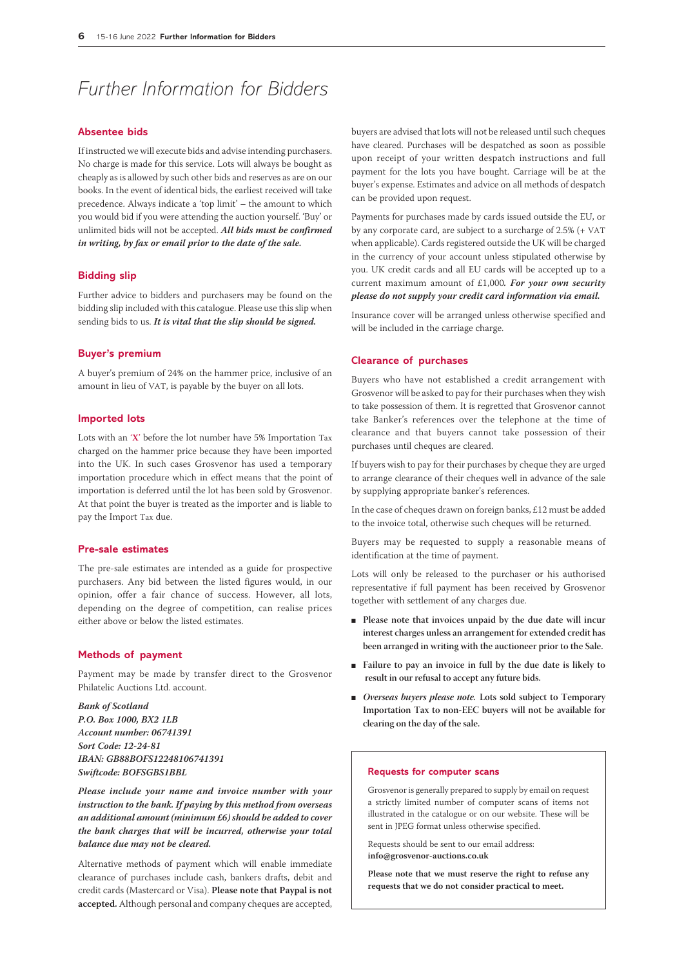# *Further Information for Bidders*

# **Absentee bids**

If instructed we will execute bids and advise intending purchasers. No charge is made for this service. Lots will always be bought as cheaply as is allowed by such other bids and reserves as are on our books. In the event of identical bids, the earliest received will take precedence. Always indicate a 'top limit' – the amount to which you would bid if you were attending the auction yourself. 'Buy' or unlimited bids will not be accepted. *All bids must be confirmed in writing, by fax or email prior to the date of the sale.* 

#### **Bidding slip**

Further advice to bidders and purchasers may be found on the bidding slip included with this catalogue. Please use this slip when sending bids to us. *It is vital that the slip should be signed.*

#### **Buyer's premium**

A buyer's premium of 24% on the hammer price, inclusive of an amount in lieu of VAT, is payable by the buyer on all lots.

# **Imported lots**

Lots with an '**X**' before the lot number have 5% Importation Tax charged on the hammer price because they have been imported into the UK. In such cases Grosvenor has used a temporary importation procedure which in effect means that the point of importation is deferred until the lot has been sold by Grosvenor. At that point the buyer is treated as the importer and is liable to pay the Import Tax due.

# **Pre-sale estimates**

The pre-sale estimates are intended as a guide for prospective purchasers. Any bid between the listed figures would, in our opinion, offer a fair chance of success. However, all lots, depending on the degree of competition, can realise prices either above or below the listed estimates.

#### **Methods of payment**

Payment may be made by transfer direct to the Grosvenor Philatelic Auctions Ltd. account.

*Bank of Scotland P.O. Box 1000, BX2 1LB Account number: 06741391 Sort Code: 12-24-81 IBAN: GB88BOFS12248106741391 Swiftcode: BOFSGBS1BBL*

*Please include your name and invoice number with your instruction to the bank. If paying by this method from overseas an additional amount (minimum £6) should be added to cover the bank charges that will be incurred, otherwise your total balance due may not be cleared.* 

Alternative methods of payment which will enable immediate clearance of purchases include cash, bankers drafts, debit and credit cards (Mastercard or Visa). **Please note that Paypal is not accepted.** Although personal and company cheques are accepted, buyers are advised that lots will not be released until such cheques have cleared. Purchases will be despatched as soon as possible upon receipt of your written despatch instructions and full payment for the lots you have bought. Carriage will be at the buyer's expense. Estimates and advice on all methods of despatch can be provided upon request.

Payments for purchases made by cards issued outside the EU, or by any corporate card, are subject to a surcharge of 2.5% (+ VAT when applicable). Cards registered outside the UK will be charged in the currency of your account unless stipulated otherwise by you. UK credit cards and all EU cards will be accepted up to a current maximum amount of £1,000*. For your own security please do not supply your credit card information via email.*

Insurance cover will be arranged unless otherwise specified and will be included in the carriage charge.

## **Clearance of purchases**

Buyers who have not established a credit arrangement with Grosvenor will be asked to pay for their purchases when they wish to take possession of them. It is regretted that Grosvenor cannot take Banker's references over the telephone at the time of clearance and that buyers cannot take possession of their purchases until cheques are cleared.

If buyers wish to pay for their purchases by cheque they are urged to arrange clearance of their cheques well in advance of the sale by supplying appropriate banker's references.

In the case of cheques drawn on foreign banks, £12 must be added to the invoice total, otherwise such cheques will be returned.

Buyers may be requested to supply a reasonable means of identification at the time of payment.

Lots will only be released to the purchaser or his authorised representative if full payment has been received by Grosvenor together with settlement of any charges due.

- **Please note that invoices unpaid by the due date will incur interest charges unless an arrangement for extended credit has been arranged in writing with the auctioneer prior to the Sale.**
- **Failure to pay an invoice in full by the due date is likely to result in our refusal to accept any future bids.**
- *Overseas buyers please note.* Lots sold subject to Temporary **Importation Tax to non-EEC buyers will not be available for clearing on the day of the sale.**

#### **Requests for computer scans**

Grosvenor is generally prepared to supply by email on request a strictly limited number of computer scans of items not illustrated in the catalogue or on our website. These will be sent in JPEG format unless otherwise specified.

Requests should be sent to our email address: **info@grosvenor-auctions.co.uk**

**Please note that we must reserve the right to refuse any requests that we do not consider practical to meet.**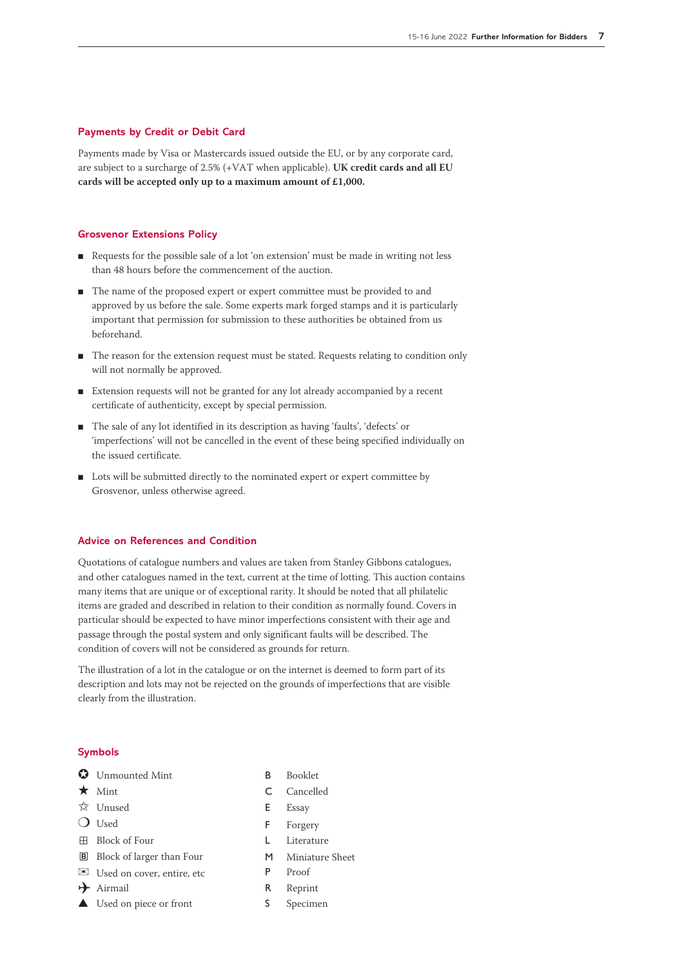# **Payments by Credit or Debit Card**

Payments made by Visa or Mastercards issued outside the EU, or by any corporate card, are subject to a surcharge of 2.5% (+VAT when applicable). **UK credit cards and all EU cards will be accepted only up to a maximum amount of £1,000.**

# **Grosvenor Extensions Policy**

- Requests for the possible sale of a lot 'on extension' must be made in writing not less than 48 hours before the commencement of the auction.
- The name of the proposed expert or expert committee must be provided to and approved by us before the sale. Some experts mark forged stamps and it is particularly important that permission for submission to these authorities be obtained from us beforehand.
- The reason for the extension request must be stated. Requests relating to condition only will not normally be approved.
- Extension requests will not be granted for any lot already accompanied by a recent certificate of authenticity, except by special permission.
- The sale of any lot identified in its description as having 'faults', 'defects' or 'imperfections' will not be cancelled in the event of these being specified individually on the issued certificate.
- Lots will be submitted directly to the nominated expert or expert committee by Grosvenor, unless otherwise agreed.

# **Advice on References and Condition**

Quotations of catalogue numbers and values are taken from Stanley Gibbons catalogues, and other catalogues named in the text, current at the time of lotting. This auction contains many items that are unique or of exceptional rarity. It should be noted that all philatelic items are graded and described in relation to their condition as normally found. Covers in particular should be expected to have minor imperfections consistent with their age and passage through the postal system and only significant faults will be described. The condition of covers will not be considered as grounds for return.

The illustration of a lot in the catalogue or on the internet is deemed to form part of its description and lots may not be rejected on the grounds of imperfections that are visible clearly from the illustration.

# **Symbols**

- **O** Unmounted Mint B Booklet
- 
- $\overrightarrow{\mathbf{x}}$  Unused **E** Essay
- 
- ⊞ Block of Four L Literature
- **B** Block of larger than Four **M** Miniature Sheet
- ✉ Used on cover, entire, etc <sup>P</sup> Proof
- 
- ▲ Used on piece or front S Specimen
- 
- ★ Mint C Cancelled
	-
- O Used F Forgery
	-
	-
	-
- → Airmail R Reprint
	-